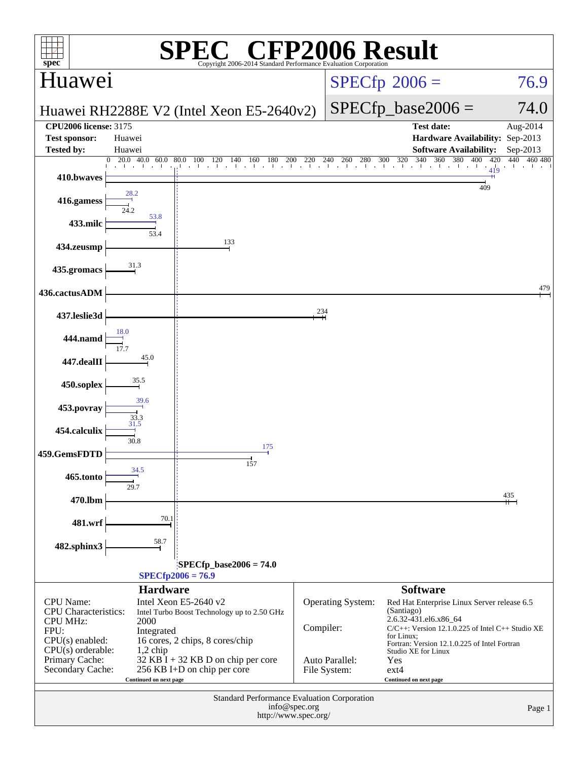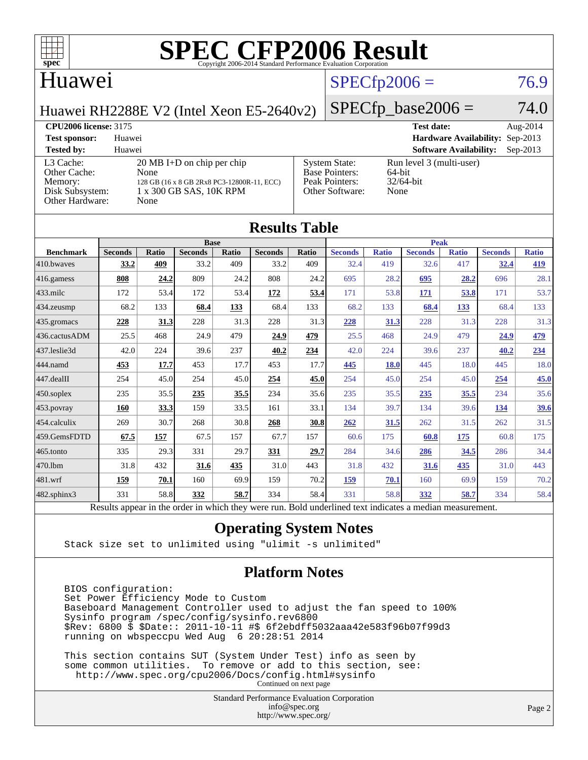

#### Huawei

## $SPECfp2006 = 76.9$  $SPECfp2006 = 76.9$

Huawei RH2288E V2 (Intel Xeon E5-2640v2)

 $SPECfp\_base2006 = 74.0$ 

#### **[CPU2006 license:](http://www.spec.org/auto/cpu2006/Docs/result-fields.html#CPU2006license)** 3175 **[Test date:](http://www.spec.org/auto/cpu2006/Docs/result-fields.html#Testdate)** Aug-2014 **[Test sponsor:](http://www.spec.org/auto/cpu2006/Docs/result-fields.html#Testsponsor)** Huawei **[Hardware Availability:](http://www.spec.org/auto/cpu2006/Docs/result-fields.html#HardwareAvailability)** Sep-2013 **[Tested by:](http://www.spec.org/auto/cpu2006/Docs/result-fields.html#Testedby)** Huawei **[Software Availability:](http://www.spec.org/auto/cpu2006/Docs/result-fields.html#SoftwareAvailability)** Sep-2013 [L3 Cache:](http://www.spec.org/auto/cpu2006/Docs/result-fields.html#L3Cache) 20 MB I+D on chip per chip<br>Other Cache: None [Other Cache:](http://www.spec.org/auto/cpu2006/Docs/result-fields.html#OtherCache) [Memory:](http://www.spec.org/auto/cpu2006/Docs/result-fields.html#Memory) 128 GB (16 x 8 GB 2Rx8 PC3-12800R-11, ECC) [Disk Subsystem:](http://www.spec.org/auto/cpu2006/Docs/result-fields.html#DiskSubsystem) 1 x 300 GB SAS, 10K RPM [Other Hardware:](http://www.spec.org/auto/cpu2006/Docs/result-fields.html#OtherHardware) None [System State:](http://www.spec.org/auto/cpu2006/Docs/result-fields.html#SystemState) Run level 3 (multi-user)<br>Base Pointers: 64-bit [Base Pointers:](http://www.spec.org/auto/cpu2006/Docs/result-fields.html#BasePointers) 64-bit<br>Peak Pointers: 32/64-bit [Peak Pointers:](http://www.spec.org/auto/cpu2006/Docs/result-fields.html#PeakPointers) [Other Software:](http://www.spec.org/auto/cpu2006/Docs/result-fields.html#OtherSoftware) None

| <b>Results Table</b>   |                                                                                                          |              |                |       |                |       |                |              |                |              |                |              |
|------------------------|----------------------------------------------------------------------------------------------------------|--------------|----------------|-------|----------------|-------|----------------|--------------|----------------|--------------|----------------|--------------|
|                        | <b>Base</b>                                                                                              |              |                |       |                |       | <b>Peak</b>    |              |                |              |                |              |
| <b>Benchmark</b>       | <b>Seconds</b>                                                                                           | <b>Ratio</b> | <b>Seconds</b> | Ratio | <b>Seconds</b> | Ratio | <b>Seconds</b> | <b>Ratio</b> | <b>Seconds</b> | <b>Ratio</b> | <b>Seconds</b> | <b>Ratio</b> |
| 410.bwayes             | 33.2                                                                                                     | 409          | 33.2           | 409   | 33.2           | 409   | 32.4           | 419          | 32.6           | 417          | 32.4           | 419          |
| 416.gamess             | 808                                                                                                      | 24.2         | 809            | 24.2  | 808            | 24.2  | 695            | 28.2         | 695            | 28.2         | 696            | 28.1         |
| $433$ .milc            | 172                                                                                                      | 53.4         | 172            | 53.4  | 172            | 53.4  | 171            | 53.8         | 171            | 53.8         | 171            | 53.7         |
| $434$ . zeusmp         | 68.2                                                                                                     | 133          | 68.4           | 133   | 68.4           | 133   | 68.2           | 133          | 68.4           | 133          | 68.4           | 133          |
| $435.$ gromacs         | 228                                                                                                      | 31.3         | 228            | 31.3  | 228            | 31.3  | 228            | 31.3         | 228            | 31.3         | 228            | 31.3         |
| 436.cactusADM          | 25.5                                                                                                     | 468          | 24.9           | 479   | 24.9           | 479   | 25.5           | 468          | 24.9           | 479          | 24.9           | 479          |
| 437.leslie3d           | 42.0                                                                                                     | 224          | 39.6           | 237   | 40.2           | 234   | 42.0           | 224          | 39.6           | 237          | 40.2           | 234          |
| 444.namd               | 453                                                                                                      | 17.7         | 453            | 17.7  | 453            | 17.7  | 445            | 18.0         | 445            | 18.0         | 445            | 18.0         |
| $ 447 \text{.}$ dealII | 254                                                                                                      | 45.0         | 254            | 45.0  | 254            | 45.0  | 254            | 45.0         | 254            | 45.0         | 254            | 45.0         |
| $450$ .soplex          | 235                                                                                                      | 35.5         | 235            | 35.5  | 234            | 35.6  | 235            | 35.5         | 235            | 35.5         | 234            | 35.6         |
| $453$ .povray          | 160                                                                                                      | 33.3         | 159            | 33.5  | 161            | 33.1  | 134            | 39.7         | 134            | 39.6         | 134            | <u>39.6</u>  |
| $ 454$ .calculix       | 269                                                                                                      | 30.7         | 268            | 30.8  | 268            | 30.8  | 262            | 31.5         | 262            | 31.5         | 262            | 31.5         |
| 459.GemsFDTD           | 67.5                                                                                                     | 157          | 67.5           | 157   | 67.7           | 157   | 60.6           | 175          | 60.8           | 175          | 60.8           | 175          |
| $ 465$ .tonto          | 335                                                                                                      | 29.3         | 331            | 29.7  | 331            | 29.7  | 284            | 34.6         | 286            | 34.5         | 286            | 34.4         |
| 470.1bm                | 31.8                                                                                                     | 432          | 31.6           | 435   | 31.0           | 443   | 31.8           | 432          | 31.6           | 435          | 31.0           | 443          |
| $ 481$ .wrf            | 159                                                                                                      | 70.1         | 160            | 69.9  | 159            | 70.2  | 159            | 70.1         | 160            | 69.9         | 159            | 70.2         |
| $482$ .sphinx $3$      | 331                                                                                                      | 58.8         | 332            | 58.7  | 334            | 58.4  | 331            | 58.8         | 332            | 58.7         | 334            | 58.4         |
|                        | Results appear in the order in which they were run. Bold underlined text indicates a median measurement. |              |                |       |                |       |                |              |                |              |                |              |

#### **[Operating System Notes](http://www.spec.org/auto/cpu2006/Docs/result-fields.html#OperatingSystemNotes)**

Stack size set to unlimited using "ulimit -s unlimited"

#### **[Platform Notes](http://www.spec.org/auto/cpu2006/Docs/result-fields.html#PlatformNotes)**

 BIOS configuration: Set Power Efficiency Mode to Custom Baseboard Management Controller used to adjust the fan speed to 100% Sysinfo program /spec/config/sysinfo.rev6800 \$Rev: 6800 \$ \$Date:: 2011-10-11 #\$ 6f2ebdff5032aaa42e583f96b07f99d3 running on wbspeccpu Wed Aug 6 20:28:51 2014

 This section contains SUT (System Under Test) info as seen by some common utilities. To remove or add to this section, see: <http://www.spec.org/cpu2006/Docs/config.html#sysinfo> Continued on next page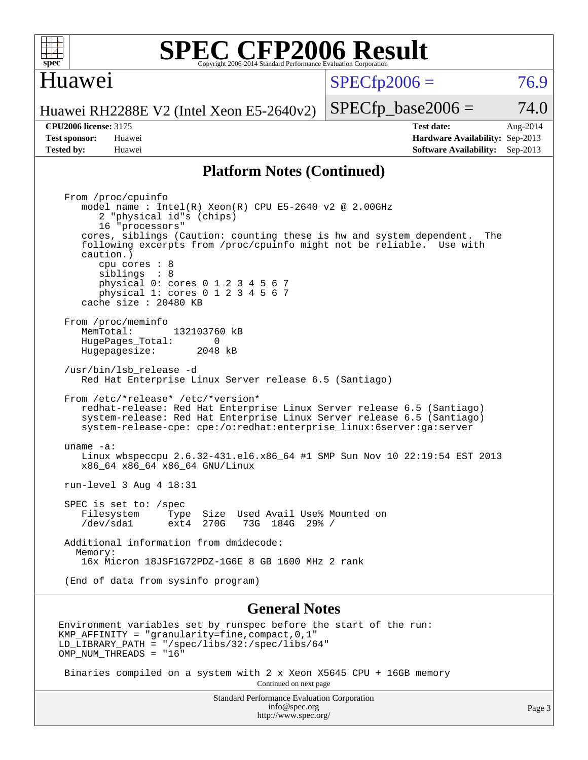

#### Huawei

 $SPECTp2006 = 76.9$ 

Huawei RH2288E V2 (Intel Xeon E5-2640v2)

**[Tested by:](http://www.spec.org/auto/cpu2006/Docs/result-fields.html#Testedby)** Huawei **[Software Availability:](http://www.spec.org/auto/cpu2006/Docs/result-fields.html#SoftwareAvailability)** Sep-2013

**[CPU2006 license:](http://www.spec.org/auto/cpu2006/Docs/result-fields.html#CPU2006license)** 3175 **[Test date:](http://www.spec.org/auto/cpu2006/Docs/result-fields.html#Testdate)** Aug-2014 **[Test sponsor:](http://www.spec.org/auto/cpu2006/Docs/result-fields.html#Testsponsor)** Huawei **[Hardware Availability:](http://www.spec.org/auto/cpu2006/Docs/result-fields.html#HardwareAvailability)** Sep-2013

 $SPECTp\_base2006 = 74.0$ 

#### **[Platform Notes \(Continued\)](http://www.spec.org/auto/cpu2006/Docs/result-fields.html#PlatformNotes)**

 From /proc/cpuinfo model name : Intel(R) Xeon(R) CPU E5-2640 v2 @ 2.00GHz 2 "physical id"s (chips) 16 "processors" cores, siblings (Caution: counting these is hw and system dependent. The following excerpts from /proc/cpuinfo might not be reliable. Use with caution.) cpu cores : 8 siblings : 8 physical 0: cores 0 1 2 3 4 5 6 7 physical 1: cores 0 1 2 3 4 5 6 7 cache size : 20480 KB From /proc/meminfo MemTotal: 132103760 kB<br>HugePages Total: 0 HugePages\_Total: 0 Hugepagesize: 2048 kB /usr/bin/lsb\_release -d Red Hat Enterprise Linux Server release 6.5 (Santiago) From /etc/\*release\* /etc/\*version\* redhat-release: Red Hat Enterprise Linux Server release 6.5 (Santiago) system-release: Red Hat Enterprise Linux Server release 6.5 (Santiago) system-release-cpe: cpe:/o:redhat:enterprise\_linux:6server:ga:server uname -a: Linux wbspeccpu 2.6.32-431.el6.x86\_64 #1 SMP Sun Nov 10 22:19:54 EST 2013 x86\_64 x86\_64 x86\_64 GNU/Linux run-level 3 Aug 4 18:31 SPEC is set to: /spec<br>Filesystem Type Type Size Used Avail Use% Mounted on /dev/sda1 ext4 270G 73G 184G 29% / Additional information from dmidecode: Memory: 16x Micron 18JSF1G72PDZ-1G6E 8 GB 1600 MHz 2 rank (End of data from sysinfo program)

#### **[General Notes](http://www.spec.org/auto/cpu2006/Docs/result-fields.html#GeneralNotes)**

Environment variables set by runspec before the start of the run: KMP\_AFFINITY = "granularity=fine,compact,0,1" LD\_LIBRARY\_PATH = "/spec/libs/32:/spec/libs/64" OMP NUM THREADS = "16"

 Binaries compiled on a system with 2 x Xeon X5645 CPU + 16GB memory Continued on next page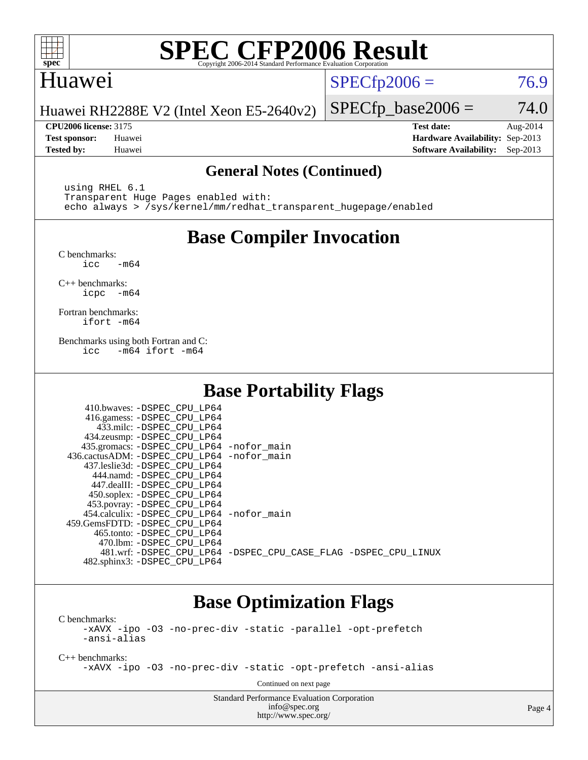

#### Huawei

 $SPECTp2006 = 76.9$ 

Huawei RH2288E V2 (Intel Xeon E5-2640v2)

**[CPU2006 license:](http://www.spec.org/auto/cpu2006/Docs/result-fields.html#CPU2006license)** 3175 **[Test date:](http://www.spec.org/auto/cpu2006/Docs/result-fields.html#Testdate)** Aug-2014 **[Test sponsor:](http://www.spec.org/auto/cpu2006/Docs/result-fields.html#Testsponsor)** Huawei **[Hardware Availability:](http://www.spec.org/auto/cpu2006/Docs/result-fields.html#HardwareAvailability)** Sep-2013 **[Tested by:](http://www.spec.org/auto/cpu2006/Docs/result-fields.html#Testedby)** Huawei **[Software Availability:](http://www.spec.org/auto/cpu2006/Docs/result-fields.html#SoftwareAvailability)** Sep-2013

 $SPECfp\_base2006 = 74.0$ 

#### **[General Notes \(Continued\)](http://www.spec.org/auto/cpu2006/Docs/result-fields.html#GeneralNotes)**

 using RHEL 6.1 Transparent Huge Pages enabled with: echo always > /sys/kernel/mm/redhat\_transparent\_hugepage/enabled

### **[Base Compiler Invocation](http://www.spec.org/auto/cpu2006/Docs/result-fields.html#BaseCompilerInvocation)**

[C benchmarks](http://www.spec.org/auto/cpu2006/Docs/result-fields.html#Cbenchmarks):  $\text{icc}$   $-\text{m64}$ 

[C++ benchmarks:](http://www.spec.org/auto/cpu2006/Docs/result-fields.html#CXXbenchmarks) [icpc -m64](http://www.spec.org/cpu2006/results/res2014q3/cpu2006-20140811-30892.flags.html#user_CXXbase_intel_icpc_64bit_bedb90c1146cab66620883ef4f41a67e)

[Fortran benchmarks](http://www.spec.org/auto/cpu2006/Docs/result-fields.html#Fortranbenchmarks): [ifort -m64](http://www.spec.org/cpu2006/results/res2014q3/cpu2006-20140811-30892.flags.html#user_FCbase_intel_ifort_64bit_ee9d0fb25645d0210d97eb0527dcc06e)

[Benchmarks using both Fortran and C](http://www.spec.org/auto/cpu2006/Docs/result-fields.html#BenchmarksusingbothFortranandC): [icc -m64](http://www.spec.org/cpu2006/results/res2014q3/cpu2006-20140811-30892.flags.html#user_CC_FCbase_intel_icc_64bit_0b7121f5ab7cfabee23d88897260401c) [ifort -m64](http://www.spec.org/cpu2006/results/res2014q3/cpu2006-20140811-30892.flags.html#user_CC_FCbase_intel_ifort_64bit_ee9d0fb25645d0210d97eb0527dcc06e)

### **[Base Portability Flags](http://www.spec.org/auto/cpu2006/Docs/result-fields.html#BasePortabilityFlags)**

| 410.bwaves: -DSPEC CPU LP64                 |                                                                |
|---------------------------------------------|----------------------------------------------------------------|
| 416.gamess: -DSPEC_CPU_LP64                 |                                                                |
| 433.milc: -DSPEC CPU LP64                   |                                                                |
| 434.zeusmp: -DSPEC_CPU_LP64                 |                                                                |
| 435.gromacs: -DSPEC_CPU_LP64 -nofor_main    |                                                                |
| 436.cactusADM: -DSPEC CPU LP64 -nofor main  |                                                                |
| 437.leslie3d: -DSPEC CPU LP64               |                                                                |
| 444.namd: - DSPEC CPU LP64                  |                                                                |
| 447.dealII: -DSPEC CPU LP64                 |                                                                |
| 450.soplex: -DSPEC_CPU_LP64                 |                                                                |
| 453.povray: -DSPEC_CPU_LP64                 |                                                                |
| 454.calculix: - DSPEC CPU LP64 - nofor main |                                                                |
| 459.GemsFDTD: - DSPEC_CPU LP64              |                                                                |
| 465.tonto: - DSPEC CPU LP64                 |                                                                |
| 470.1bm: - DSPEC CPU LP64                   |                                                                |
|                                             | 481.wrf: -DSPEC CPU_LP64 -DSPEC_CPU_CASE_FLAG -DSPEC_CPU_LINUX |
| 482.sphinx3: -DSPEC_CPU_LP64                |                                                                |

#### **[Base Optimization Flags](http://www.spec.org/auto/cpu2006/Docs/result-fields.html#BaseOptimizationFlags)**

[C benchmarks](http://www.spec.org/auto/cpu2006/Docs/result-fields.html#Cbenchmarks): [-xAVX](http://www.spec.org/cpu2006/results/res2014q3/cpu2006-20140811-30892.flags.html#user_CCbase_f-xAVX) [-ipo](http://www.spec.org/cpu2006/results/res2014q3/cpu2006-20140811-30892.flags.html#user_CCbase_f-ipo) [-O3](http://www.spec.org/cpu2006/results/res2014q3/cpu2006-20140811-30892.flags.html#user_CCbase_f-O3) [-no-prec-div](http://www.spec.org/cpu2006/results/res2014q3/cpu2006-20140811-30892.flags.html#user_CCbase_f-no-prec-div) [-static](http://www.spec.org/cpu2006/results/res2014q3/cpu2006-20140811-30892.flags.html#user_CCbase_f-static) [-parallel](http://www.spec.org/cpu2006/results/res2014q3/cpu2006-20140811-30892.flags.html#user_CCbase_f-parallel) [-opt-prefetch](http://www.spec.org/cpu2006/results/res2014q3/cpu2006-20140811-30892.flags.html#user_CCbase_f-opt-prefetch) [-ansi-alias](http://www.spec.org/cpu2006/results/res2014q3/cpu2006-20140811-30892.flags.html#user_CCbase_f-ansi-alias)

[C++ benchmarks:](http://www.spec.org/auto/cpu2006/Docs/result-fields.html#CXXbenchmarks)

[-xAVX](http://www.spec.org/cpu2006/results/res2014q3/cpu2006-20140811-30892.flags.html#user_CXXbase_f-xAVX) [-ipo](http://www.spec.org/cpu2006/results/res2014q3/cpu2006-20140811-30892.flags.html#user_CXXbase_f-ipo) [-O3](http://www.spec.org/cpu2006/results/res2014q3/cpu2006-20140811-30892.flags.html#user_CXXbase_f-O3) [-no-prec-div](http://www.spec.org/cpu2006/results/res2014q3/cpu2006-20140811-30892.flags.html#user_CXXbase_f-no-prec-div) [-static](http://www.spec.org/cpu2006/results/res2014q3/cpu2006-20140811-30892.flags.html#user_CXXbase_f-static) [-opt-prefetch](http://www.spec.org/cpu2006/results/res2014q3/cpu2006-20140811-30892.flags.html#user_CXXbase_f-opt-prefetch) [-ansi-alias](http://www.spec.org/cpu2006/results/res2014q3/cpu2006-20140811-30892.flags.html#user_CXXbase_f-ansi-alias)

Continued on next page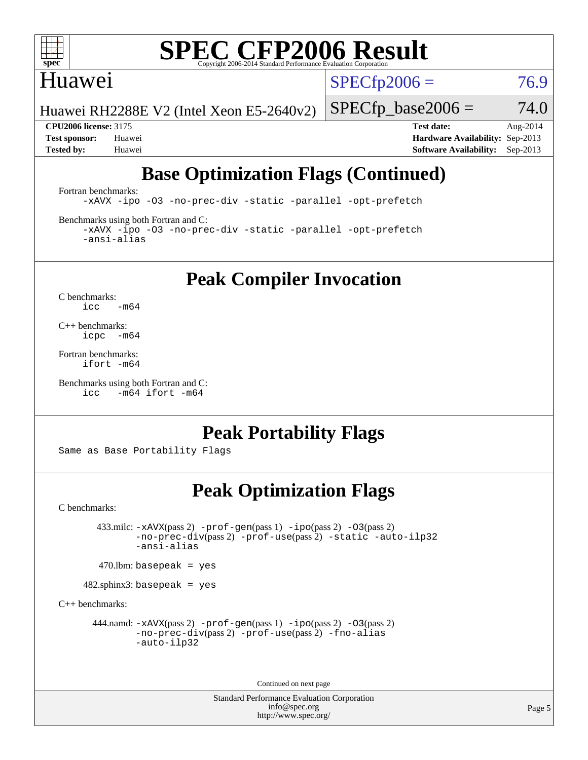

#### Huawei

 $SPECTp2006 = 76.9$ 

Huawei RH2288E V2 (Intel Xeon E5-2640v2)

 $SPECfp\_base2006 = 74.0$ 

**[CPU2006 license:](http://www.spec.org/auto/cpu2006/Docs/result-fields.html#CPU2006license)** 3175 **[Test date:](http://www.spec.org/auto/cpu2006/Docs/result-fields.html#Testdate)** Aug-2014 **[Test sponsor:](http://www.spec.org/auto/cpu2006/Docs/result-fields.html#Testsponsor)** Huawei **[Hardware Availability:](http://www.spec.org/auto/cpu2006/Docs/result-fields.html#HardwareAvailability)** Sep-2013 **[Tested by:](http://www.spec.org/auto/cpu2006/Docs/result-fields.html#Testedby)** Huawei **[Software Availability:](http://www.spec.org/auto/cpu2006/Docs/result-fields.html#SoftwareAvailability)** Sep-2013

## **[Base Optimization Flags \(Continued\)](http://www.spec.org/auto/cpu2006/Docs/result-fields.html#BaseOptimizationFlags)**

[Fortran benchmarks](http://www.spec.org/auto/cpu2006/Docs/result-fields.html#Fortranbenchmarks):

[-xAVX](http://www.spec.org/cpu2006/results/res2014q3/cpu2006-20140811-30892.flags.html#user_FCbase_f-xAVX) [-ipo](http://www.spec.org/cpu2006/results/res2014q3/cpu2006-20140811-30892.flags.html#user_FCbase_f-ipo) [-O3](http://www.spec.org/cpu2006/results/res2014q3/cpu2006-20140811-30892.flags.html#user_FCbase_f-O3) [-no-prec-div](http://www.spec.org/cpu2006/results/res2014q3/cpu2006-20140811-30892.flags.html#user_FCbase_f-no-prec-div) [-static](http://www.spec.org/cpu2006/results/res2014q3/cpu2006-20140811-30892.flags.html#user_FCbase_f-static) [-parallel](http://www.spec.org/cpu2006/results/res2014q3/cpu2006-20140811-30892.flags.html#user_FCbase_f-parallel) [-opt-prefetch](http://www.spec.org/cpu2006/results/res2014q3/cpu2006-20140811-30892.flags.html#user_FCbase_f-opt-prefetch)

[Benchmarks using both Fortran and C](http://www.spec.org/auto/cpu2006/Docs/result-fields.html#BenchmarksusingbothFortranandC):

[-xAVX](http://www.spec.org/cpu2006/results/res2014q3/cpu2006-20140811-30892.flags.html#user_CC_FCbase_f-xAVX) [-ipo](http://www.spec.org/cpu2006/results/res2014q3/cpu2006-20140811-30892.flags.html#user_CC_FCbase_f-ipo) [-O3](http://www.spec.org/cpu2006/results/res2014q3/cpu2006-20140811-30892.flags.html#user_CC_FCbase_f-O3) [-no-prec-div](http://www.spec.org/cpu2006/results/res2014q3/cpu2006-20140811-30892.flags.html#user_CC_FCbase_f-no-prec-div) [-static](http://www.spec.org/cpu2006/results/res2014q3/cpu2006-20140811-30892.flags.html#user_CC_FCbase_f-static) [-parallel](http://www.spec.org/cpu2006/results/res2014q3/cpu2006-20140811-30892.flags.html#user_CC_FCbase_f-parallel) [-opt-prefetch](http://www.spec.org/cpu2006/results/res2014q3/cpu2006-20140811-30892.flags.html#user_CC_FCbase_f-opt-prefetch) [-ansi-alias](http://www.spec.org/cpu2006/results/res2014q3/cpu2006-20140811-30892.flags.html#user_CC_FCbase_f-ansi-alias)

### **[Peak Compiler Invocation](http://www.spec.org/auto/cpu2006/Docs/result-fields.html#PeakCompilerInvocation)**

[C benchmarks](http://www.spec.org/auto/cpu2006/Docs/result-fields.html#Cbenchmarks):  $\text{icc}$  -m64

[C++ benchmarks:](http://www.spec.org/auto/cpu2006/Docs/result-fields.html#CXXbenchmarks) [icpc -m64](http://www.spec.org/cpu2006/results/res2014q3/cpu2006-20140811-30892.flags.html#user_CXXpeak_intel_icpc_64bit_bedb90c1146cab66620883ef4f41a67e)

[Fortran benchmarks](http://www.spec.org/auto/cpu2006/Docs/result-fields.html#Fortranbenchmarks): [ifort -m64](http://www.spec.org/cpu2006/results/res2014q3/cpu2006-20140811-30892.flags.html#user_FCpeak_intel_ifort_64bit_ee9d0fb25645d0210d97eb0527dcc06e)

```
Benchmarks using both Fortran and C: 
     icc -m64 ifort -m64
```
### **[Peak Portability Flags](http://www.spec.org/auto/cpu2006/Docs/result-fields.html#PeakPortabilityFlags)**

Same as Base Portability Flags

#### **[Peak Optimization Flags](http://www.spec.org/auto/cpu2006/Docs/result-fields.html#PeakOptimizationFlags)**

[C benchmarks](http://www.spec.org/auto/cpu2006/Docs/result-fields.html#Cbenchmarks):

 433.milc: [-xAVX](http://www.spec.org/cpu2006/results/res2014q3/cpu2006-20140811-30892.flags.html#user_peakPASS2_CFLAGSPASS2_LDFLAGS433_milc_f-xAVX)(pass 2) [-prof-gen](http://www.spec.org/cpu2006/results/res2014q3/cpu2006-20140811-30892.flags.html#user_peakPASS1_CFLAGSPASS1_LDFLAGS433_milc_prof_gen_e43856698f6ca7b7e442dfd80e94a8fc)(pass 1) [-ipo](http://www.spec.org/cpu2006/results/res2014q3/cpu2006-20140811-30892.flags.html#user_peakPASS2_CFLAGSPASS2_LDFLAGS433_milc_f-ipo)(pass 2) [-O3](http://www.spec.org/cpu2006/results/res2014q3/cpu2006-20140811-30892.flags.html#user_peakPASS2_CFLAGSPASS2_LDFLAGS433_milc_f-O3)(pass 2) [-no-prec-div](http://www.spec.org/cpu2006/results/res2014q3/cpu2006-20140811-30892.flags.html#user_peakPASS2_CFLAGSPASS2_LDFLAGS433_milc_f-no-prec-div)(pass 2) [-prof-use](http://www.spec.org/cpu2006/results/res2014q3/cpu2006-20140811-30892.flags.html#user_peakPASS2_CFLAGSPASS2_LDFLAGS433_milc_prof_use_bccf7792157ff70d64e32fe3e1250b55)(pass 2) [-static](http://www.spec.org/cpu2006/results/res2014q3/cpu2006-20140811-30892.flags.html#user_peakOPTIMIZE433_milc_f-static) [-auto-ilp32](http://www.spec.org/cpu2006/results/res2014q3/cpu2006-20140811-30892.flags.html#user_peakCOPTIMIZE433_milc_f-auto-ilp32) [-ansi-alias](http://www.spec.org/cpu2006/results/res2014q3/cpu2006-20140811-30892.flags.html#user_peakCOPTIMIZE433_milc_f-ansi-alias)

 $470$ .lbm: basepeak = yes

482.sphinx3: basepeak = yes

[C++ benchmarks:](http://www.spec.org/auto/cpu2006/Docs/result-fields.html#CXXbenchmarks)

444.namd:  $-x$ AVX(pass 2)  $-p$ rof-gen(pass 1)  $-p$ po(pass 2)  $-03$ (pass 2) [-no-prec-div](http://www.spec.org/cpu2006/results/res2014q3/cpu2006-20140811-30892.flags.html#user_peakPASS2_CXXFLAGSPASS2_LDFLAGS444_namd_f-no-prec-div)(pass 2) [-prof-use](http://www.spec.org/cpu2006/results/res2014q3/cpu2006-20140811-30892.flags.html#user_peakPASS2_CXXFLAGSPASS2_LDFLAGS444_namd_prof_use_bccf7792157ff70d64e32fe3e1250b55)(pass 2) [-fno-alias](http://www.spec.org/cpu2006/results/res2014q3/cpu2006-20140811-30892.flags.html#user_peakCXXOPTIMIZEOPTIMIZE444_namd_f-no-alias_694e77f6c5a51e658e82ccff53a9e63a) [-auto-ilp32](http://www.spec.org/cpu2006/results/res2014q3/cpu2006-20140811-30892.flags.html#user_peakCXXOPTIMIZE444_namd_f-auto-ilp32)

Continued on next page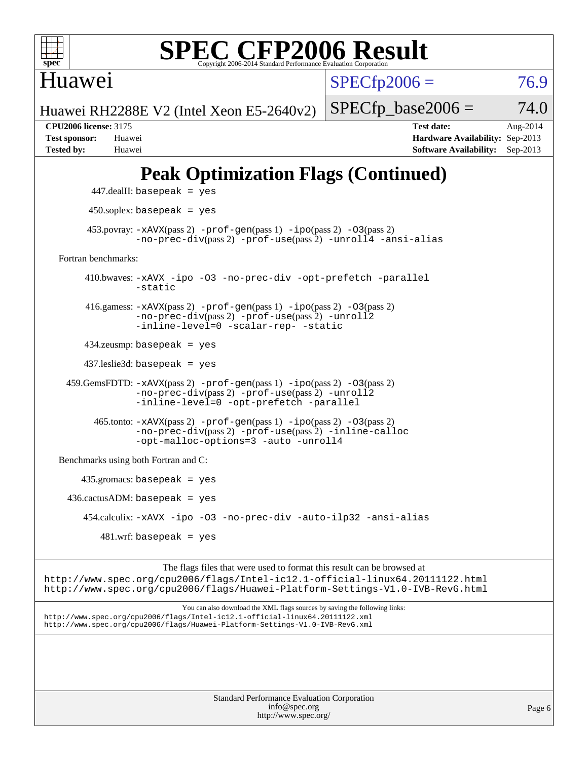

Huawei

 $SPECfp2006 = 76.9$  $SPECfp2006 = 76.9$ 

Huawei RH2288E V2 (Intel Xeon E5-2640v2)

 $SPECTp\_base2006 = 74.0$ **[CPU2006 license:](http://www.spec.org/auto/cpu2006/Docs/result-fields.html#CPU2006license)** 3175 **[Test date:](http://www.spec.org/auto/cpu2006/Docs/result-fields.html#Testdate)** Aug-2014 **[Test sponsor:](http://www.spec.org/auto/cpu2006/Docs/result-fields.html#Testsponsor)** Huawei **[Hardware Availability:](http://www.spec.org/auto/cpu2006/Docs/result-fields.html#HardwareAvailability)** Sep-2013

## **[Peak Optimization Flags \(Continued\)](http://www.spec.org/auto/cpu2006/Docs/result-fields.html#PeakOptimizationFlags)**

**[Tested by:](http://www.spec.org/auto/cpu2006/Docs/result-fields.html#Testedby)** Huawei **[Software Availability:](http://www.spec.org/auto/cpu2006/Docs/result-fields.html#SoftwareAvailability)** Sep-2013

```
 447.dealII: basepeak = yes
          450.soplex: basepeak = yes
        453.povray: -xAVX(pass 2) -prof-gen(pass 1) -ipo(pass 2) -03(pass 2)
                  -no-prec-div(pass 2) -prof-use(pass 2) -unroll4 -ansi-alias
   Fortran benchmarks: 
         410.bwaves: -xAVX -ipo -O3 -no-prec-div -opt-prefetch -parallel
                  -static
         416.gamess: -xAVX(pass 2) -prof-gen(pass 1) -ipo(pass 2) -O3(pass 2)
                  -no-prec-div(pass 2) -prof-use(pass 2) -unroll2
                  -inline-level=0 -scalar-rep- -static
         434.zeusmp: basepeak = yes
         437.leslie3d: basepeak = yes
     459.GemsFDTD: -xAVX(pass 2) -prof-gen(pass 1) -ipo(pass 2) -O3(pass 2)
                  -no-prec-div(pass 2) -prof-use(pass 2) -unroll2
                  -inline-level=0 -opt-prefetch -parallel
          465.tonto: -xAVX(pass 2) -prof-gen(pass 1) -po(pass 2) -03(pass 2)
                  -no-prec-div(pass 2) -prof-use(pass 2) -inline-calloc
                  -opt-malloc-options=3-auto-unroll4
   Benchmarks using both Fortran and C: 
        435.gromacs: basepeak = yes
    436.cactusADM:basepeak = yes 454.calculix: -xAVX -ipo -O3 -no-prec-div -auto-ilp32 -ansi-alias
           481.wrf: basepeak = yes
                        The flags files that were used to format this result can be browsed at
http://www.spec.org/cpu2006/flags/Intel-ic12.1-official-linux64.20111122.html
http://www.spec.org/cpu2006/flags/Huawei-Platform-Settings-V1.0-IVB-RevG.html
```
You can also download the XML flags sources by saving the following links: <http://www.spec.org/cpu2006/flags/Intel-ic12.1-official-linux64.20111122.xml> <http://www.spec.org/cpu2006/flags/Huawei-Platform-Settings-V1.0-IVB-RevG.xml>